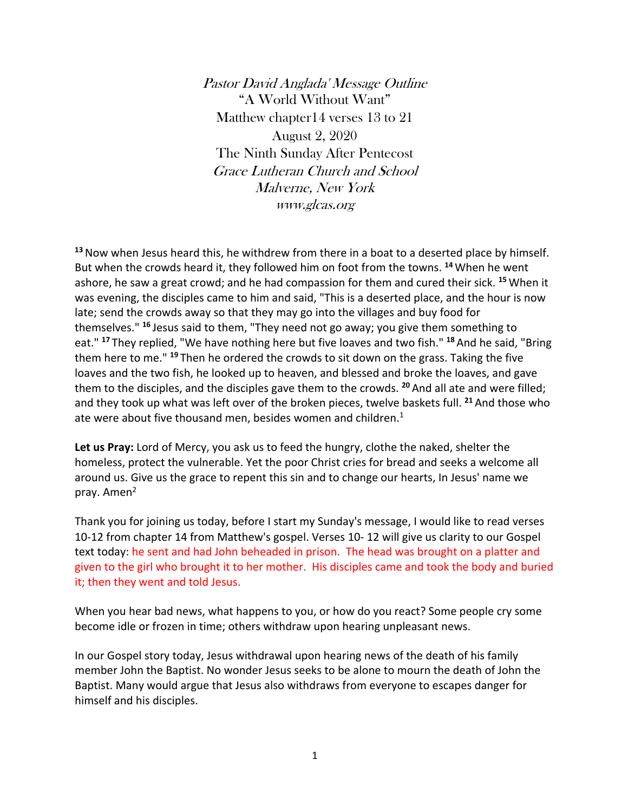Pastor David Anglada' Message Outline "A World Without Want" Matthew chapter14 verses 13 to 21 August 2, 2020 The Ninth Sunday After Pentecost Grace Lutheran Church and School Malverne, New York www.glcas.org

**<sup>13</sup>**Now when Jesus heard this, he withdrew from there in a boat to a deserted place by himself. But when the crowds heard it, they followed him on foot from the towns. **<sup>14</sup>** When he went ashore, he saw a great crowd; and he had compassion for them and cured their sick. **<sup>15</sup>** When it was evening, the disciples came to him and said, "This is a deserted place, and the hour is now late; send the crowds away so that they may go into the villages and buy food for themselves." **<sup>16</sup>** Jesus said to them, "They need not go away; you give them something to eat." **<sup>17</sup>** They replied, "We have nothing here but five loaves and two fish." **<sup>18</sup>** And he said, "Bring them here to me." **<sup>19</sup>** Then he ordered the crowds to sit down on the grass. Taking the five loaves and the two fish, he looked up to heaven, and blessed and broke the loaves, and gave them to the disciples, and the disciples gave them to the crowds. **<sup>20</sup>** And all ate and were filled; and they took up what was left over of the broken pieces, twelve baskets full. **<sup>21</sup>** And those who ate were about five thousand men, besides women and children. $1$ 

**Let us Pray:** Lord of Mercy, you ask us to feed the hungry, clothe the naked, shelter the homeless, protect the vulnerable. Yet the poor Christ cries for bread and seeks a welcome all around us. Give us the grace to repent this sin and to change our hearts, In Jesus' name we pray. Amen $^2$ 

Thank you for joining us today, before I start my Sunday's message, I would like to read verses 10-12 from chapter 14 from Matthew's gospel. Verses 10- 12 will give us clarity to our Gospel text today: he sent and had John beheaded in prison. The head was brought on a platter and given to the girl who brought it to her mother. His disciples came and took the body and buried it; then they went and told Jesus.

When you hear bad news, what happens to you, or how do you react? Some people cry some become idle or frozen in time; others withdraw upon hearing unpleasant news.

In our Gospel story today, Jesus withdrawal upon hearing news of the death of his family member John the Baptist. No wonder Jesus seeks to be alone to mourn the death of John the Baptist. Many would argue that Jesus also withdraws from everyone to escapes danger for himself and his disciples.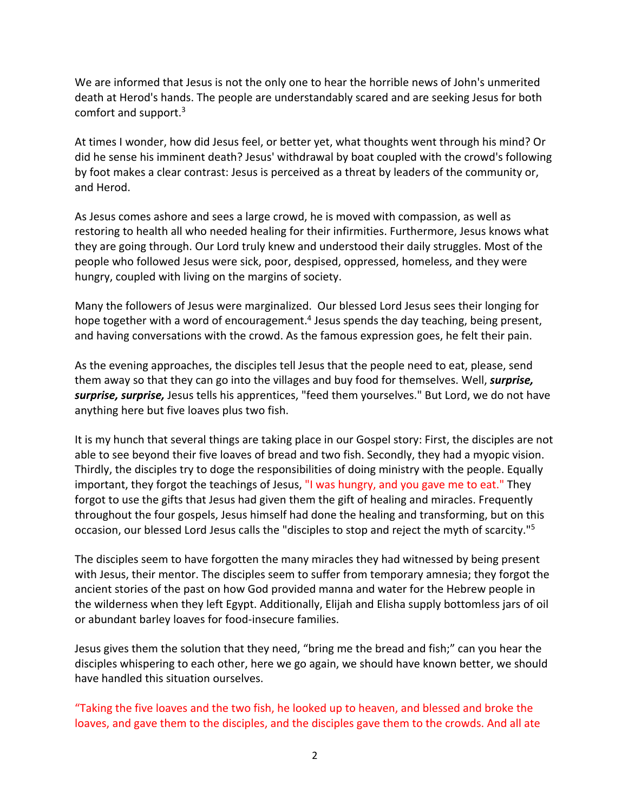We are informed that Jesus is not the only one to hear the horrible news of John's unmerited death at Herod's hands. The people are understandably scared and are seeking Jesus for both comfort and support.3

At times I wonder, how did Jesus feel, or better yet, what thoughts went through his mind? Or did he sense his imminent death? Jesus' withdrawal by boat coupled with the crowd's following by foot makes a clear contrast: Jesus is perceived as a threat by leaders of the community or, and Herod.

As Jesus comes ashore and sees a large crowd, he is moved with compassion, as well as restoring to health all who needed healing for their infirmities. Furthermore, Jesus knows what they are going through. Our Lord truly knew and understood their daily struggles. Most of the people who followed Jesus were sick, poor, despised, oppressed, homeless, and they were hungry, coupled with living on the margins of society.

Many the followers of Jesus were marginalized. Our blessed Lord Jesus sees their longing for hope together with a word of encouragement.<sup>4</sup> Jesus spends the day teaching, being present, and having conversations with the crowd. As the famous expression goes, he felt their pain.

As the evening approaches, the disciples tell Jesus that the people need to eat, please, send them away so that they can go into the villages and buy food for themselves. Well, *surprise, surprise, surprise,* Jesus tells his apprentices, "feed them yourselves." But Lord, we do not have anything here but five loaves plus two fish.

It is my hunch that several things are taking place in our Gospel story: First, the disciples are not able to see beyond their five loaves of bread and two fish. Secondly, they had a myopic vision. Thirdly, the disciples try to doge the responsibilities of doing ministry with the people. Equally important, they forgot the teachings of Jesus, "I was hungry, and you gave me to eat." They forgot to use the gifts that Jesus had given them the gift of healing and miracles. Frequently throughout the four gospels, Jesus himself had done the healing and transforming, but on this occasion, our blessed Lord Jesus calls the "disciples to stop and reject the myth of scarcity."5

The disciples seem to have forgotten the many miracles they had witnessed by being present with Jesus, their mentor. The disciples seem to suffer from temporary amnesia; they forgot the ancient stories of the past on how God provided manna and water for the Hebrew people in the wilderness when they left Egypt. Additionally, Elijah and Elisha supply bottomless jars of oil or abundant barley loaves for food-insecure families.

Jesus gives them the solution that they need, "bring me the bread and fish;" can you hear the disciples whispering to each other, here we go again, we should have known better, we should have handled this situation ourselves.

"Taking the five loaves and the two fish, he looked up to heaven, and blessed and broke the loaves, and gave them to the disciples, and the disciples gave them to the crowds. And all ate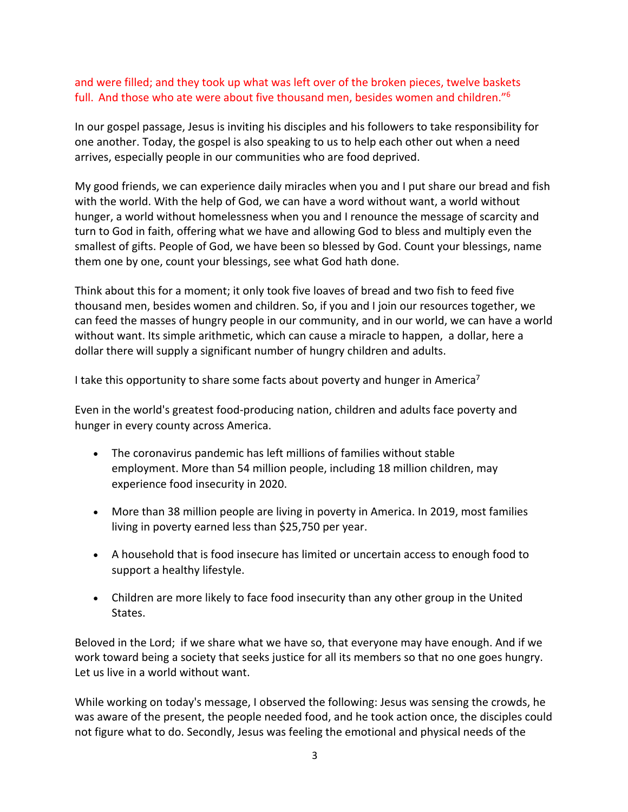## and were filled; and they took up what was left over of the broken pieces, twelve baskets full. And those who ate were about five thousand men, besides women and children."6

In our gospel passage, Jesus is inviting his disciples and his followers to take responsibility for one another. Today, the gospel is also speaking to us to help each other out when a need arrives, especially people in our communities who are food deprived.

My good friends, we can experience daily miracles when you and I put share our bread and fish with the world. With the help of God, we can have a word without want, a world without hunger, a world without homelessness when you and I renounce the message of scarcity and turn to God in faith, offering what we have and allowing God to bless and multiply even the smallest of gifts. People of God, we have been so blessed by God. Count your blessings, name them one by one, count your blessings, see what God hath done.

Think about this for a moment; it only took five loaves of bread and two fish to feed five thousand men, besides women and children. So, if you and I join our resources together, we can feed the masses of hungry people in our community, and in our world, we can have a world without want. Its simple arithmetic, which can cause a miracle to happen, a dollar, here a dollar there will supply a significant number of hungry children and adults.

I take this opportunity to share some facts about poverty and hunger in America<sup>7</sup>

Even in the world's greatest food-producing nation, children and adults face poverty and hunger in every county across America.

- The coronavirus pandemic has left millions of families without stable employment. More than 54 million people, including 18 million children, may experience food insecurity in 2020.
- More than 38 million people are living in poverty in America. In 2019, most families living in poverty earned less than \$25,750 per year.
- A household that is food insecure has limited or uncertain access to enough food to support a healthy lifestyle.
- Children are more likely to face food insecurity than any other group in the United States.

Beloved in the Lord; if we share what we have so, that everyone may have enough. And if we work toward being a society that seeks justice for all its members so that no one goes hungry. Let us live in a world without want.

While working on today's message, I observed the following: Jesus was sensing the crowds, he was aware of the present, the people needed food, and he took action once, the disciples could not figure what to do. Secondly, Jesus was feeling the emotional and physical needs of the